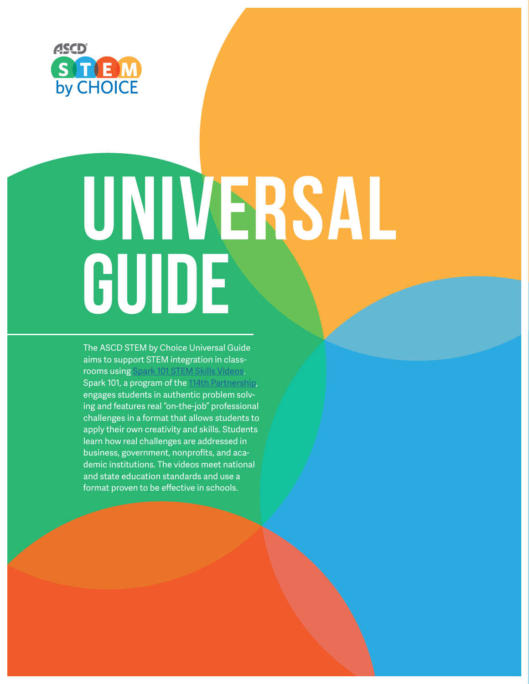

# UNIVERSAL GUIDE

The ASCD STEM by Choice Universal Guide aims to support STEM integration in classrooms using [Spark 101 STEM Skills Videos](www.spark101.org/). Spark 101, a program of the [114th Partnership](http://www.114th.org/), engages students in authentic problem solving and features real "on-the-job" professional challenges in a format that allows students to apply their own creativity and skills. Students learn how real challenges are addressed in business, government, nonprofits, and academic institutions. The videos meet national and state education standards and use a format proven to be effective in schools.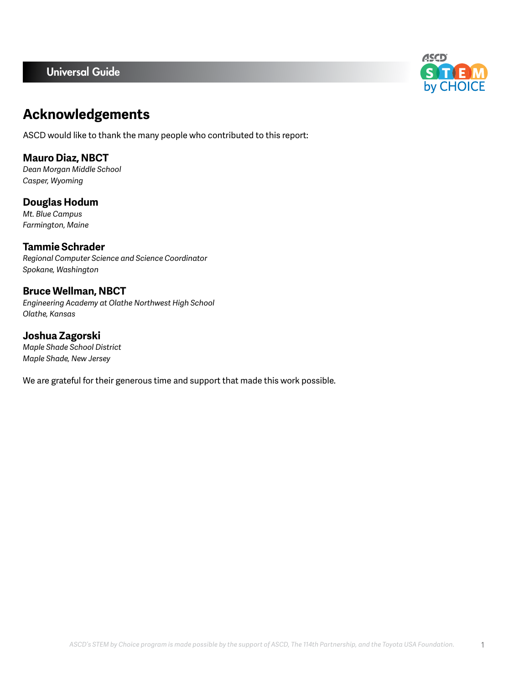## Universal Guide



# **Acknowledgements**

ASCD would like to thank the many people who contributed to this report:

**Mauro Diaz, NBCT** *Dean Morgan Middle School Casper, Wyoming*

**Douglas Hodum** *Mt. Blue Campus Farmington, Maine*

**Tammie Schrader** *Regional Computer Science and Science Coordinator Spokane, Washington*

**Bruce Wellman, NBCT** *Engineering Academy at Olathe Northwest High School Olathe, Kansas*

**Joshua Zagorski** *Maple Shade School District Maple Shade, New Jersey*

We are grateful for their generous time and support that made this work possible.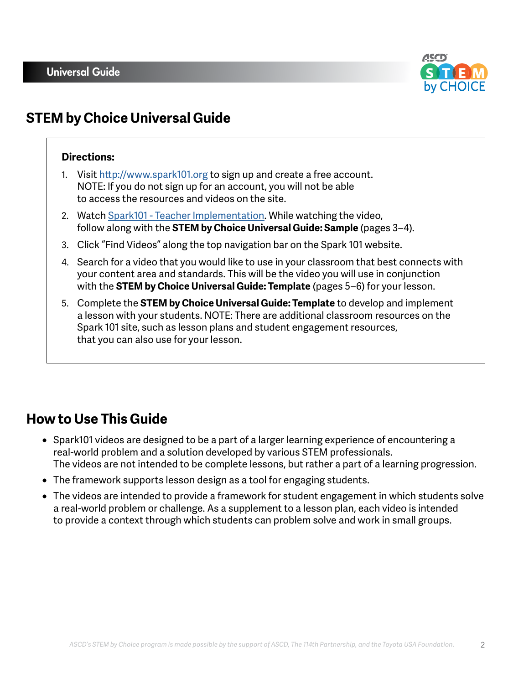

# **STEM by Choice Universal Guide**

## **Directions:**

- 1. Visit <http://www.spark101.org>to sign up and create a free account. NOTE: If you do not sign up for an account, you will not be able to access the resources and videos on the site.
- 2. Watch [Spark101 Teacher Implementation](https://www.youtube.com/watch?v=rstab6jZa9o&feature=youtu.be). While watching the video, follow along with the **STEM by Choice Universal Guide: Sample** (pages 3–4).
- 3. Click "Find Videos" along the top navigation bar on the Spark 101 website.
- 4. Search for a video that you would like to use in your classroom that best connects with your content area and standards. This will be the video you will use in conjunction with the **STEM by Choice Universal Guide: Template** (pages 5–6) for your lesson.
- 5. Complete the **STEM by Choice Universal Guide: Template** to develop and implement a lesson with your students. NOTE: There are additional classroom resources on the Spark 101 site, such as lesson plans and student engagement resources, that you can also use for your lesson.

# **How to Use This Guide**

- Spark101 videos are designed to be a part of a larger learning experience of encountering a real-world problem and a solution developed by various STEM professionals. The videos are not intended to be complete lessons, but rather a part of a learning progression.
- The framework supports lesson design as a tool for engaging students.
- The videos are intended to provide a framework for student engagement in which students solve a real-world problem or challenge. As a supplement to a lesson plan, each video is intended to provide a context through which students can problem solve and work in small groups.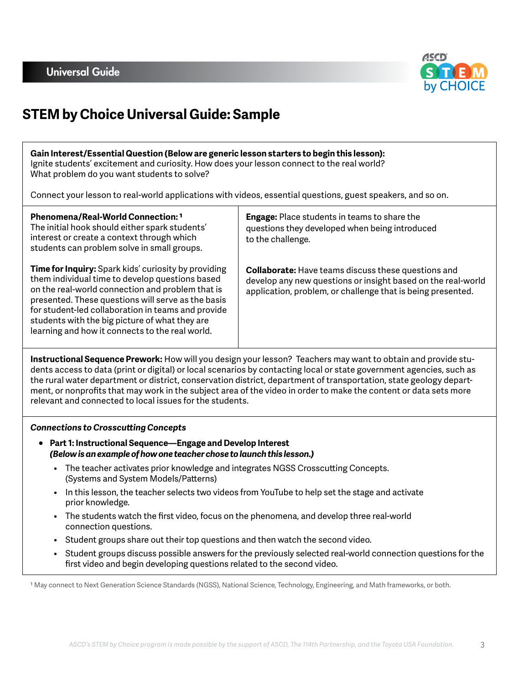

# **STEM by Choice Universal Guide: Sample**

#### **Gain Interest/Essential Question (Below are generic lesson starters to begin this lesson):** Ignite students' excitement and curiosity. How does your lesson connect to the real world? What problem do you want students to solve?

Connect your lesson to real-world applications with videos, essential questions, guest speakers, and so on.

| Phenomena/Real-World Connection: 1<br>The initial hook should either spark students'<br>interest or create a context through which<br>students can problem solve in small groups.                                                                                                                                                                                                   | <b>Engage:</b> Place students in teams to share the<br>questions they developed when being introduced<br>to the challenge.                                                                |
|-------------------------------------------------------------------------------------------------------------------------------------------------------------------------------------------------------------------------------------------------------------------------------------------------------------------------------------------------------------------------------------|-------------------------------------------------------------------------------------------------------------------------------------------------------------------------------------------|
| <b>Time for Inquiry:</b> Spark kids' curiosity by providing<br>them individual time to develop questions based<br>on the real-world connection and problem that is<br>presented. These questions will serve as the basis<br>for student-led collaboration in teams and provide<br>students with the big picture of what they are<br>learning and how it connects to the real world. | <b>Collaborate:</b> Have teams discuss these questions and<br>develop any new questions or insight based on the real-world<br>application, problem, or challenge that is being presented. |

**Instructional Sequence Prework:** How will you design your lesson? Teachers may want to obtain and provide students access to data (print or digital) or local scenarios by contacting local or state government agencies, such as the rural water department or district, conservation district, department of transportation, state geology department, or nonprofits that may work in the subject area of the video in order to make the content or data sets more relevant and connected to local issues for the students.

## *Connections to Crosscutting Concepts*

- **Part 1: Instructional Sequence—Engage and Develop Interest** *(Below is an example of how one teacher chose to launch this lesson.)*
	- The teacher activates prior knowledge and integrates NGSS Crosscutting Concepts. (Systems and System Models/Patterns)
	- In this lesson, the teacher selects two videos from YouTube to help set the stage and activate prior knowledge.
	- The students watch the first video, focus on the phenomena, and develop three real-world connection questions.
	- Student groups share out their top questions and then watch the second video.
	- Student groups discuss possible answers for the previously selected real-world connection questions for the first video and begin developing questions related to the second video.

1 May connect to Next Generation Science Standards (NGSS), National Science, Technology, Engineering, and Math frameworks, or both.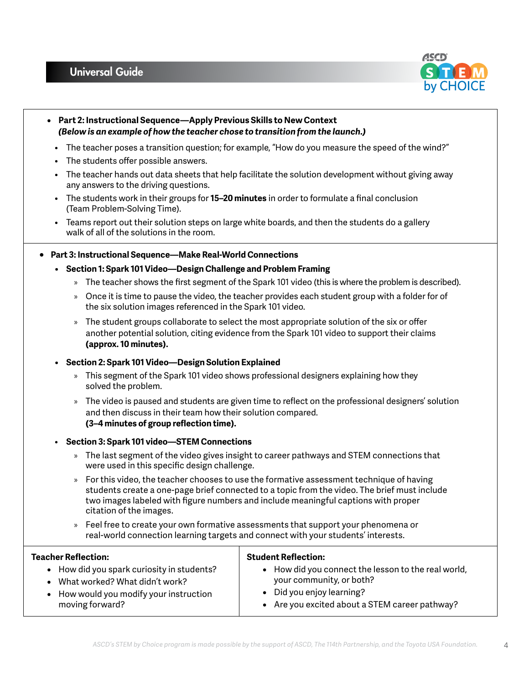## Universal Guide



- **Part 2: Instructional Sequence—Apply Previous Skills to New Context** *(Below is an example of how the teacher chose to transition from the launch.)*
	- The teacher poses a transition question; for example, "How do you measure the speed of the wind?"
	- The students offer possible answers.
	- The teacher hands out data sheets that help facilitate the solution development without giving away any answers to the driving questions.
	- The students work in their groups for **15–20 minutes** in order to formulate a final conclusion (Team Problem-Solving Time).
- Teams report out their solution steps on large white boards, and then the students do a gallery walk of all of the solutions in the room.

## ○ **Part 3: Instructional Sequence—Make Real-World Connections**

- **• Section 1: Spark 101 Video—Design Challenge and Problem Framing** 
	- » The teacher shows the first segment of the Spark 101 video (this is where the problem is described).
	- » Once it is time to pause the video, the teacher provides each student group with a folder for of the six solution images referenced in the Spark 101 video.
	- » The student groups collaborate to select the most appropriate solution of the six or offer another potential solution, citing evidence from the Spark 101 video to support their claims **(approx. 10 minutes).**

#### **• Section 2: Spark 101 Video—Design Solution Explained**

- » This segment of the Spark 101 video shows professional designers explaining how they solved the problem.
- » The video is paused and students are given time to reflect on the professional designers' solution and then discuss in their team how their solution compared. **(3–4 minutes of group reflection time).**

## • **Section 3: Spark 101 video—STEM Connections**

- » The last segment of the video gives insight to career pathways and STEM connections that were used in this specific design challenge.
- » For this video, the teacher chooses to use the formative assessment technique of having students create a one-page brief connected to a topic from the video. The brief must include two images labeled with figure numbers and include meaningful captions with proper citation of the images.
- » Feel free to create your own formative assessments that support your phenomena or real-world connection learning targets and connect with your students' interests.

## **Teacher Reflection:**

- How did you spark curiosity in students?
- What worked? What didn't work?
- How would you modify your instruction moving forward?

## **Student Reflection:**

- How did you connect the lesson to the real world, your community, or both?
- Did you enjoy learning?
- Are you excited about a STEM career pathway?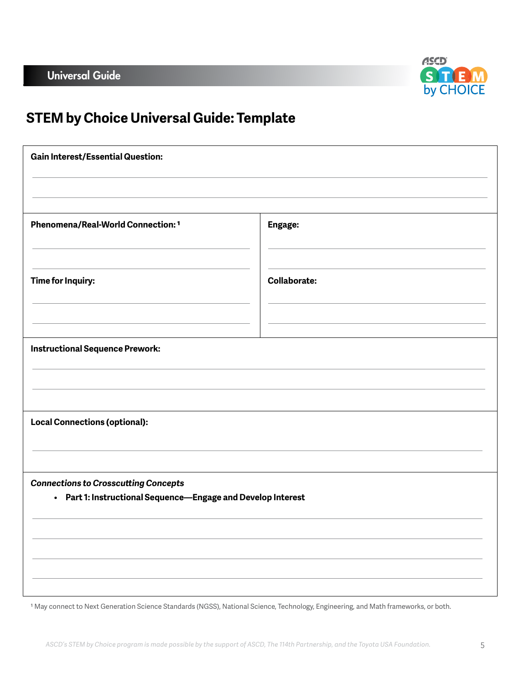

# **STEM by Choice Universal Guide: Template**

| <b>Gain Interest/Essential Question:</b>                                                                    |                     |  |
|-------------------------------------------------------------------------------------------------------------|---------------------|--|
|                                                                                                             |                     |  |
| Phenomena/Real-World Connection: 1                                                                          | Engage:             |  |
| <b>Time for Inquiry:</b>                                                                                    | <b>Collaborate:</b> |  |
| Instructional Sequence Prework:                                                                             |                     |  |
| <b>Local Connections (optional):</b>                                                                        |                     |  |
|                                                                                                             |                     |  |
| <b>Connections to Crosscutting Concepts</b><br>• Part 1: Instructional Sequence-Engage and Develop Interest |                     |  |
|                                                                                                             |                     |  |
|                                                                                                             |                     |  |
|                                                                                                             |                     |  |

1 May connect to Next Generation Science Standards (NGSS), National Science, Technology, Engineering, and Math frameworks, or both.